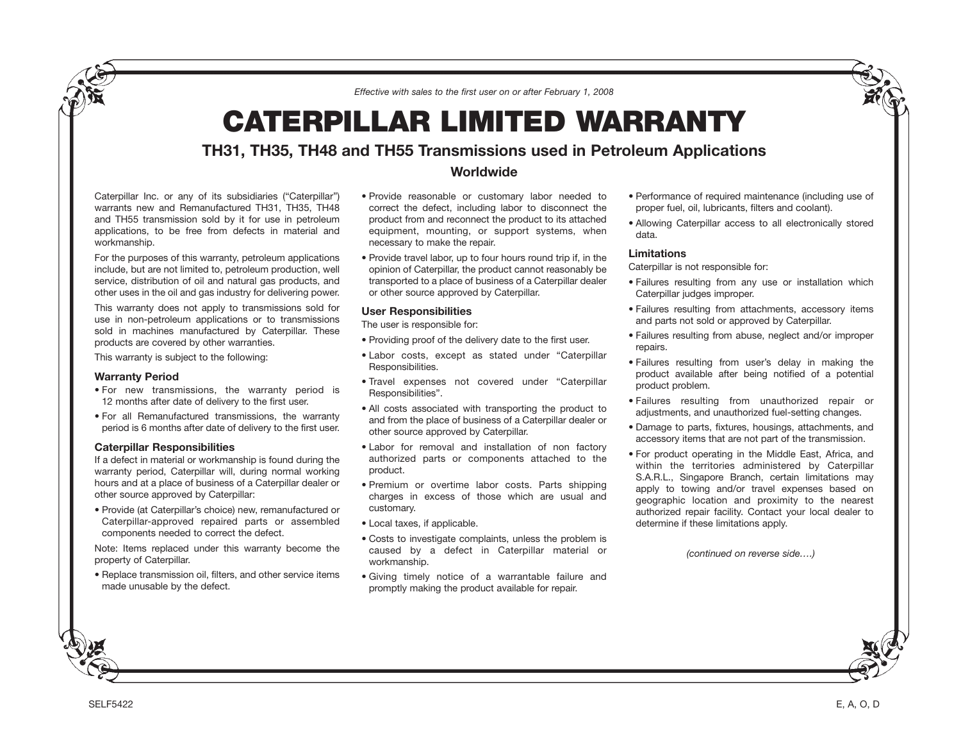*Effective with sales to the first user on or after February 1, 2008*

# **CATERPILLAR LIMITED WARRANTY**

# **TH31, TH35, TH48 and TH55 Transmissions used in Petroleum Applications**

Caterpillar Inc. or any of its subsidiaries ("Caterpillar") warrants new and Remanufactured TH31, TH35, TH48 and TH55 transmission sold by it for use in petroleum applications, to be free from defects in material and workmanship.

For the purposes of this warranty, petroleum applications include, but are not limited to, petroleum production, well service, distribution of oil and natural gas products, and other uses in the oil and gas industry for delivering power.

This warranty does not apply to transmissions sold for use in non-petroleum applications or to transmissions sold in machines manufactured by Caterpillar. These products are covered by other warranties.

This warranty is subject to the following:

### **Warranty Period**

- For new transmissions, the warranty period is 12 months after date of delivery to the first user.
- For all Remanufactured transmissions, the warranty period is 6 months after date of delivery to the first user.

## **Caterpillar Responsibilities**

If a defect in material or workmanship is found during the warranty period, Caterpillar will, during normal working hours and at a place of business of a Caterpillar dealer or other source approved by Caterpillar:

• Provide (at Caterpillar's choice) new, remanufactured or Caterpillar-approved repaired parts or assembled components needed to correct the defect.

Note: Items replaced under this warranty become the property of Caterpillar.

• Replace transmission oil, filters, and other service items made unusable by the defect.

- **Worldwide**
- Provide reasonable or customary labor needed to correct the defect, including labor to disconnect the product from and reconnect the product to its attached equipment, mounting, or support systems, when necessary to make the repair.
- Provide travel labor, up to four hours round trip if, in the opinion of Caterpillar, the product cannot reasonably be transported to a place of business of a Caterpillar dealer or other source approved by Caterpillar.

# **User Responsibilities**

The user is responsible for:

- Providing proof of the delivery date to the first user.
- Labor costs, except as stated under "Caterpillar Responsibilities.
- Travel expenses not covered under "Caterpillar Responsibilities".
- All costs associated with transporting the product to and from the place of business of a Caterpillar dealer or other source approved by Caterpillar.
- Labor for removal and installation of non factory authorized parts or components attached to the product.
- Premium or overtime labor costs. Parts shipping charges in excess of those which are usual and customary.
- Local taxes, if applicable.
- Costs to investigate complaints, unless the problem is caused by a defect in Caterpillar material or workmanship.
- Giving timely notice of a warrantable failure and promptly making the product available for repair.
- Performance of required maintenance (including use of proper fuel, oil, lubricants, filters and coolant).
- Allowing Caterpillar access to all electronically stored data.

### **Limitations**

Caterpillar is not responsible for:

- Failures resulting from any use or installation which Caterpillar judges improper.
- Failures resulting from attachments, accessory items and parts not sold or approved by Caterpillar.
- Failures resulting from abuse, neglect and/or improper repairs.
- Failures resulting from user's delay in making the product available after being notified of a potential product problem.
- Failures resulting from unauthorized repair or adjustments, and unauthorized fuel-setting changes.
- Damage to parts, fixtures, housings, attachments, and accessory items that are not part of the transmission.
- For product operating in the Middle East, Africa, and within the territories administered by Caterpillar S.A.R.L., Singapore Branch, certain limitations may apply to towing and/or travel expenses based on geographic location and proximity to the nearest authorized repair facility. Contact your local dealer to determine if these limitations apply.

*(continued on reverse side….)*